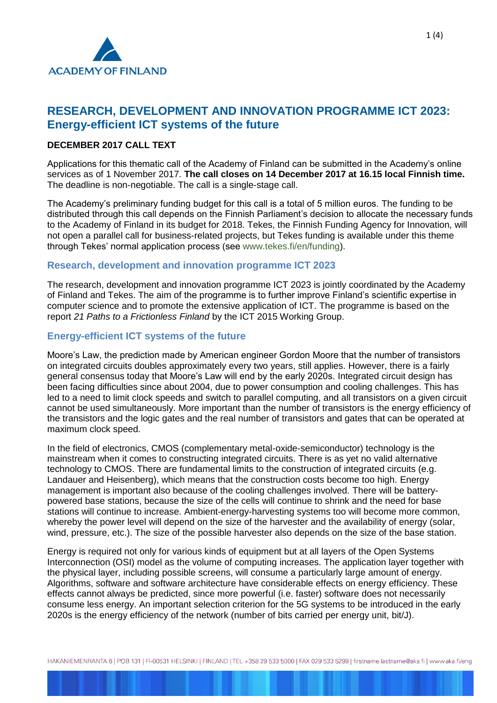

# **RESEARCH, DEVELOPMENT AND INNOVATION PROGRAMME ICT 2023: Energy-efficient ICT systems of the future**

## **DECEMBER 2017 CALL TEXT**

Applications for this thematic call of the Academy of Finland can be submitted in the Academy's online services as of 1 November 2017. **The call closes on 14 December 2017 at 16.15 local Finnish time.** The deadline is non-negotiable. The call is a single-stage call.

The Academy's preliminary funding budget for this call is a total of 5 million euros. The funding to be distributed through this call depends on the Finnish Parliament's decision to allocate the necessary funds to the Academy of Finland in its budget for 2018. Tekes, the Finnish Funding Agency for Innovation, will not open a parallel call for business-related projects, but Tekes funding is available under this theme through Tekes' normal application process (see [www.tekes.fi/en/funding\)](http://www.tekes.fi/en/funding).

#### **Research, development and innovation programme ICT 2023**

The research, development and innovation programme ICT 2023 is jointly coordinated by the Academy of Finland and Tekes. The aim of the programme is to further improve Finland's scientific expertise in computer science and to promote the extensive application of ICT. The programme is based on the report *21 Paths to a Frictionless Finland* by the ICT 2015 Working Group.

#### **Energy-efficient ICT systems of the future**

Moore's Law, the prediction made by American engineer Gordon Moore that the number of transistors on integrated circuits doubles approximately every two years, still applies. However, there is a fairly general consensus today that Moore's Law will end by the early 2020s. Integrated circuit design has been facing difficulties since about 2004, due to power consumption and cooling challenges. This has led to a need to limit clock speeds and switch to parallel computing, and all transistors on a given circuit cannot be used simultaneously. More important than the number of transistors is the energy efficiency of the transistors and the logic gates and the real number of transistors and gates that can be operated at maximum clock speed.

In the field of electronics, CMOS (complementary metal-oxide-semiconductor) technology is the mainstream when it comes to constructing integrated circuits. There is as yet no valid alternative technology to CMOS. There are fundamental limits to the construction of integrated circuits (e.g. Landauer and Heisenberg), which means that the construction costs become too high. Energy management is important also because of the cooling challenges involved. There will be batterypowered base stations, because the size of the cells will continue to shrink and the need for base stations will continue to increase. Ambient-energy-harvesting systems too will become more common, whereby the power level will depend on the size of the harvester and the availability of energy (solar, wind, pressure, etc.). The size of the possible harvester also depends on the size of the base station.

Energy is required not only for various kinds of equipment but at all layers of the Open Systems Interconnection (OSI) model as the volume of computing increases. The application layer together with the physical layer, including possible screens, will consume a particularly large amount of energy. Algorithms, software and software architecture have considerable effects on energy efficiency. These effects cannot always be predicted, since more powerful (i.e. faster) software does not necessarily consume less energy. An important selection criterion for the 5G systems to be introduced in the early 2020s is the energy efficiency of the network (number of bits carried per energy unit, bit/J).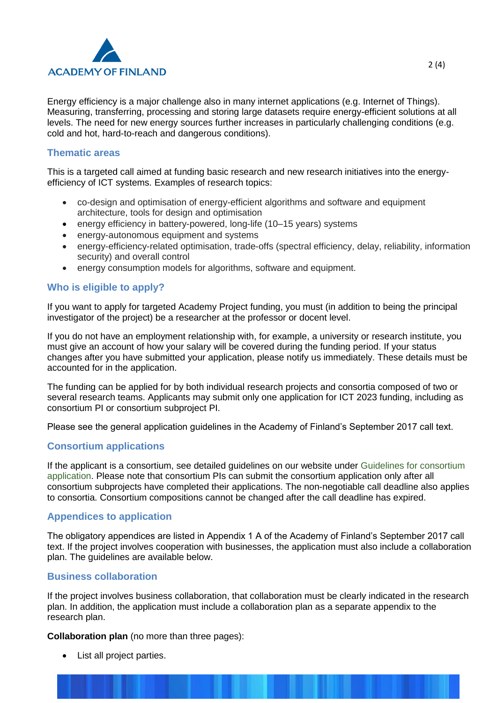

Energy efficiency is a major challenge also in many internet applications (e.g. Internet of Things). Measuring, transferring, processing and storing large datasets require energy-efficient solutions at all levels. The need for new energy sources further increases in particularly challenging conditions (e.g. cold and hot, hard-to-reach and dangerous conditions).

### **Thematic areas**

This is a targeted call aimed at funding basic research and new research initiatives into the energyefficiency of ICT systems. Examples of research topics:

- co-design and optimisation of energy-efficient algorithms and software and equipment architecture, tools for design and optimisation
- energy efficiency in battery-powered, long-life (10–15 years) systems
- energy-autonomous equipment and systems
- energy-efficiency-related optimisation, trade-offs (spectral efficiency, delay, reliability, information security) and overall control
- energy consumption models for algorithms, software and equipment.

# **Who is eligible to apply?**

If you want to apply for targeted Academy Project funding, you must (in addition to being the principal investigator of the project) be a researcher at the professor or docent level.

If you do not have an employment relationship with, for example, a university or research institute, you must give an account of how your salary will be covered during the funding period. If your status changes after you have submitted your application, please notify us immediately. These details must be accounted for in the application.

The funding can be applied for by both individual research projects and consortia composed of two or several research teams. Applicants may submit only one application for ICT 2023 funding, including as consortium PI or consortium subproject PI.

Please see the general application guidelines in the Academy of Finland's September 2017 call text.

### **Consortium applications**

If the applicant is a consortium, see detailed guidelines on our website under [Guidelines for consortium](http://www.aka.fi/en/funding/how-to-apply/application-guidelines/guidelines-for-consortium-application/)  [application.](http://www.aka.fi/en/funding/how-to-apply/application-guidelines/guidelines-for-consortium-application/) Please note that consortium PIs can submit the consortium application only after all consortium subprojects have completed their applications. The non-negotiable call deadline also applies to consortia. Consortium compositions cannot be changed after the call deadline has expired.

### **Appendices to application**

The obligatory appendices are listed in Appendix 1 A of the Academy of Finland's September 2017 call text. If the project involves cooperation with businesses, the application must also include a collaboration plan. The guidelines are available below.

### **Business collaboration**

If the project involves business collaboration, that collaboration must be clearly indicated in the research plan. In addition, the application must include a collaboration plan as a separate appendix to the research plan.

**Collaboration plan** (no more than three pages):

• List all project parties.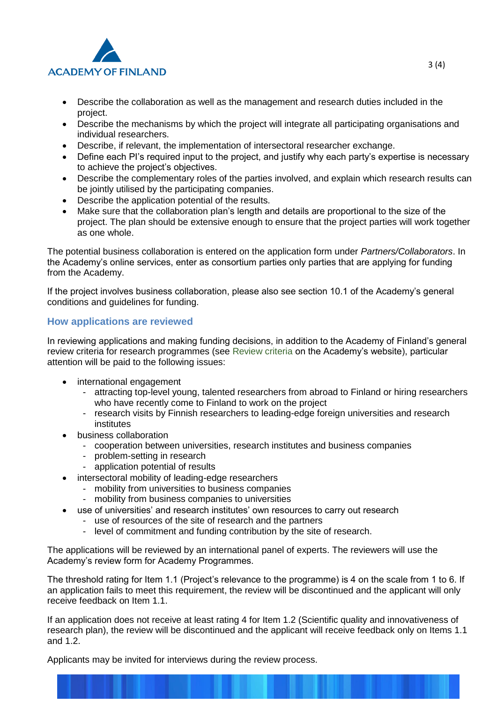

- Describe the collaboration as well as the management and research duties included in the project.
- Describe the mechanisms by which the project will integrate all participating organisations and individual researchers.
- Describe, if relevant, the implementation of intersectoral researcher exchange.
- Define each PI's required input to the project, and justify why each party's expertise is necessary to achieve the project's objectives.
- Describe the complementary roles of the parties involved, and explain which research results can be jointly utilised by the participating companies.
- Describe the application potential of the results.
- Make sure that the collaboration plan's length and details are proportional to the size of the project. The plan should be extensive enough to ensure that the project parties will work together as one whole.

The potential business collaboration is entered on the application form under *Partners/Collaborators*. In the Academy's online services, enter as consortium parties only parties that are applying for funding from the Academy.

If the project involves business collaboration, please also see section 10.1 of the Academy's general conditions and guidelines for funding.

## **How applications are reviewed**

In reviewing applications and making funding decisions, in addition to the Academy of Finland's general review criteria for research programmes (see [Review criteria](http://www.aka.fi/en/review-and-funding-decisions/how-applications-are-reviewed/review-criteria/) on the Academy's website), particular attention will be paid to the following issues:

- international engagement
	- attracting top-level young, talented researchers from abroad to Finland or hiring researchers who have recently come to Finland to work on the project
	- research visits by Finnish researchers to leading-edge foreign universities and research institutes
- business collaboration
	- cooperation between universities, research institutes and business companies
	- problem-setting in research
	- application potential of results
- intersectoral mobility of leading-edge researchers
	- mobility from universities to business companies
	- mobility from business companies to universities
- use of universities' and research institutes' own resources to carry out research
	- use of resources of the site of research and the partners
		- level of commitment and funding contribution by the site of research.

The applications will be reviewed by an international panel of experts. The reviewers will use the Academy's review form for Academy Programmes.

The threshold rating for Item 1.1 (Project's relevance to the programme) is 4 on the scale from 1 to 6. If an application fails to meet this requirement, the review will be discontinued and the applicant will only receive feedback on Item 1.1.

If an application does not receive at least rating 4 for Item 1.2 (Scientific quality and innovativeness of research plan), the review will be discontinued and the applicant will receive feedback only on Items 1.1 and 1.2.

Applicants may be invited for interviews during the review process.